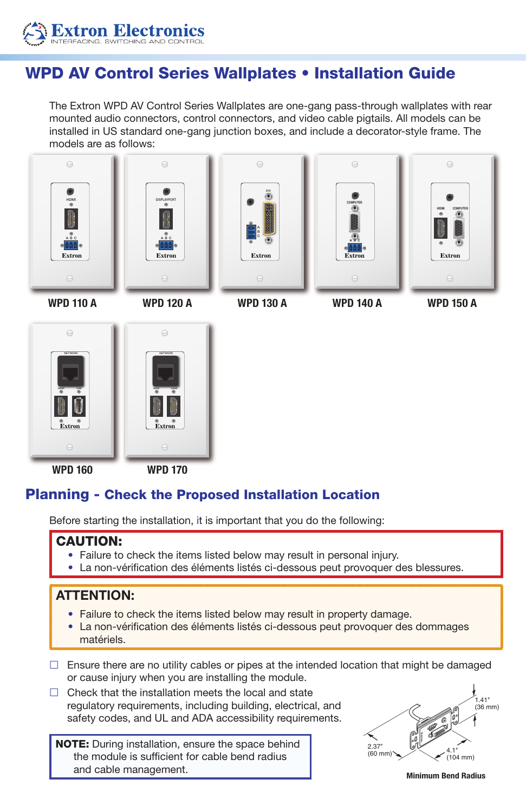

# WPD AV Control Series Wallplates • Installation Guide

The Extron WPD AV Control Series Wallplates are one-gang pass-through wallplates with rear mounted audio connectors, control connectors, and video cable pigtails. All models can be installed in US standard one-gang junction boxes, and include a decorator-style frame. The models are as follows:











WPD 110 A WPD 120 A WPD 130 A WPD 140 A WPD 150 A



## Planning - Check the Proposed Installation Location

Before starting the installation, it is important that you do the following:

#### CAUTION:

- Failure to check the items listed below may result in personal injury.
- La non-vérification des éléments listés ci-dessous peut provoquer des blessures.

#### ATTENTION:

- Failure to check the items listed below may result in property damage.
- La non-vérification des éléments listés ci-dessous peut provoquer des dommages matériels.
- $\Box$  Ensure there are no utility cables or pipes at the intended location that might be damaged or cause injury when you are installing the module.
- $\Box$  Check that the installation meets the local and state regulatory requirements, including building, electrical, and safety codes, and UL and ADA accessibility requirements.

NOTE: During installation, ensure the space behind the module is sufficient for cable bend radius and cable management. The management of the state of the management of the management of the management of the management of the management of the management of the management of the management of the management of the man